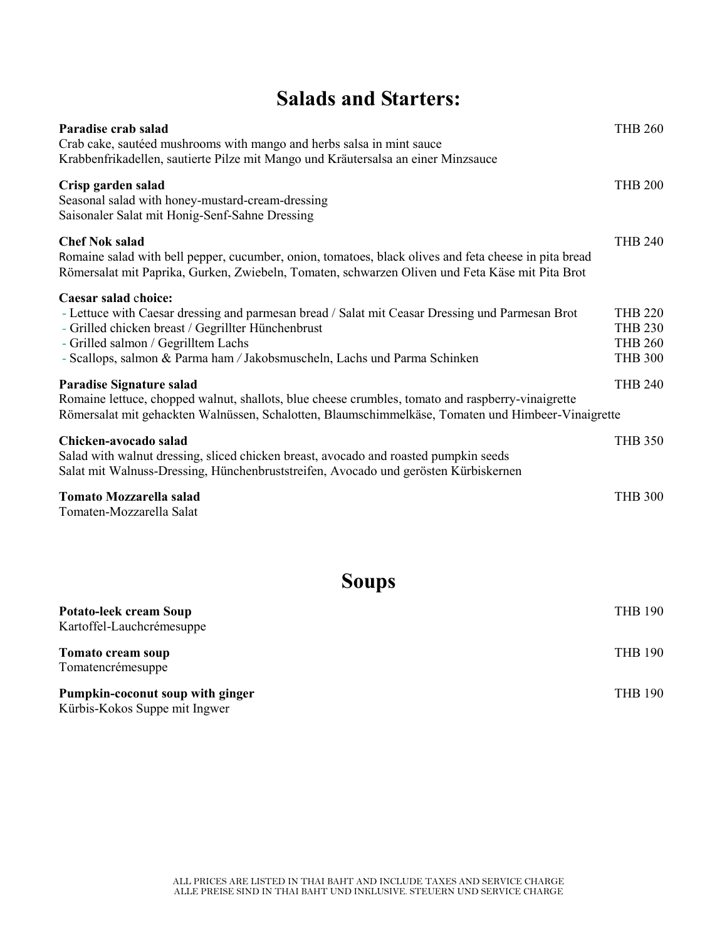# **Salads and Starters:**

| Paradise crab salad<br>Crab cake, sautéed mushrooms with mango and herbs salsa in mint sauce<br>Krabbenfrikadellen, sautierte Pilze mit Mango und Kräutersalsa an einer Minzsauce                                                                                                                 | <b>THB 260</b>                                                       |
|---------------------------------------------------------------------------------------------------------------------------------------------------------------------------------------------------------------------------------------------------------------------------------------------------|----------------------------------------------------------------------|
| Crisp garden salad<br>Seasonal salad with honey-mustard-cream-dressing<br>Saisonaler Salat mit Honig-Senf-Sahne Dressing                                                                                                                                                                          | <b>THB 200</b>                                                       |
| <b>Chef Nok salad</b><br>Romaine salad with bell pepper, cucumber, onion, tomatoes, black olives and feta cheese in pita bread<br>Römersalat mit Paprika, Gurken, Zwiebeln, Tomaten, schwarzen Oliven und Feta Käse mit Pita Brot                                                                 | <b>THB 240</b>                                                       |
| Caesar salad choice:<br>- Lettuce with Caesar dressing and parmesan bread / Salat mit Ceasar Dressing und Parmesan Brot<br>- Grilled chicken breast / Gegrillter Hünchenbrust<br>- Grilled salmon / Gegrilltem Lachs<br>- Scallops, salmon & Parma ham / Jakobsmuscheln, Lachs und Parma Schinken | <b>THB 220</b><br><b>THB 230</b><br><b>THB 260</b><br><b>THB 300</b> |
| <b>Paradise Signature salad</b><br>Romaine lettuce, chopped walnut, shallots, blue cheese crumbles, tomato and raspberry-vinaigrette<br>Römersalat mit gehackten Walnüssen, Schalotten, Blaumschimmelkäse, Tomaten und Himbeer-Vinaigrette                                                        | <b>THB 240</b>                                                       |
| Chicken-avocado salad<br>Salad with walnut dressing, sliced chicken breast, avocado and roasted pumpkin seeds<br>Salat mit Walnuss-Dressing, Hünchenbruststreifen, Avocado und gerösten Kürbiskernen                                                                                              | <b>THB 350</b>                                                       |
| <b>Tomato Mozzarella salad</b><br>Tomaten-Mozzarella Salat                                                                                                                                                                                                                                        | <b>THB 300</b>                                                       |

**Soups**

| <b>Potato-leek cream Soup</b><br>Kartoffel-Lauchcrémesuppe        | <b>THB 190</b> |
|-------------------------------------------------------------------|----------------|
| Tomato cream soup<br>Tomatencrémesuppe                            | <b>THB 190</b> |
| Pumpkin-coconut soup with ginger<br>Kürbis-Kokos Suppe mit Ingwer | <b>THB 190</b> |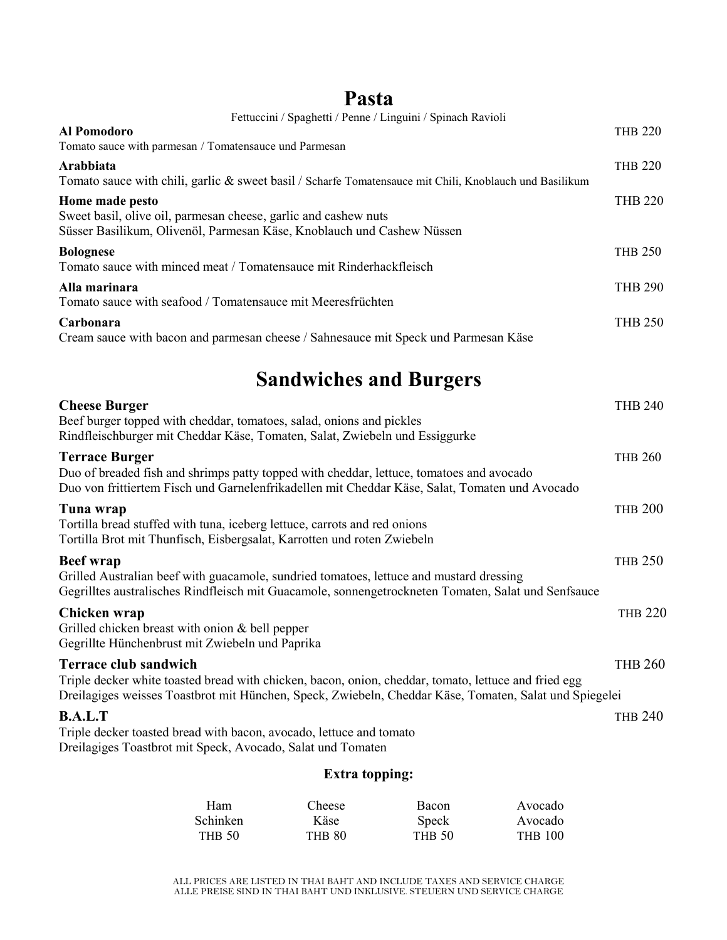## **Pasta**

| Fettuccini / Spaghetti / Penne / Linguini / Spinach Ravioli                                                                                                                                                                                    |                |
|------------------------------------------------------------------------------------------------------------------------------------------------------------------------------------------------------------------------------------------------|----------------|
| Al Pomodoro<br>Tomato sauce with parmesan / Tomatensauce und Parmesan                                                                                                                                                                          | <b>THB 220</b> |
| Arabbiata<br>Tomato sauce with chili, garlic & sweet basil / Scharfe Tomatensauce mit Chili, Knoblauch und Basilikum                                                                                                                           | <b>THB 220</b> |
| Home made pesto<br>Sweet basil, olive oil, parmesan cheese, garlic and cashew nuts<br>Süsser Basilikum, Olivenöl, Parmesan Käse, Knoblauch und Cashew Nüssen                                                                                   | <b>THB 220</b> |
| <b>Bolognese</b><br>Tomato sauce with minced meat / Tomatensauce mit Rinderhackfleisch                                                                                                                                                         | <b>THB 250</b> |
| Alla marinara<br>Tomato sauce with seafood / Tomatensauce mit Meeresfrüchten                                                                                                                                                                   | <b>THB 290</b> |
| Carbonara<br>Cream sauce with bacon and parmesan cheese / Sahnesauce mit Speck und Parmesan Käse                                                                                                                                               | <b>THB 250</b> |
| <b>Sandwiches and Burgers</b>                                                                                                                                                                                                                  |                |
| <b>Cheese Burger</b><br>Beef burger topped with cheddar, tomatoes, salad, onions and pickles<br>Rindfleischburger mit Cheddar Käse, Tomaten, Salat, Zwiebeln und Essiggurke                                                                    | <b>THB 240</b> |
| <b>Terrace Burger</b><br>Duo of breaded fish and shrimps patty topped with cheddar, lettuce, tomatoes and avocado<br>Duo von frittiertem Fisch und Garnelenfrikadellen mit Cheddar Käse, Salat, Tomaten und Avocado                            | <b>THB 260</b> |
| Tuna wrap<br>Tortilla bread stuffed with tuna, iceberg lettuce, carrots and red onions<br>Tortilla Brot mit Thunfisch, Eisbergsalat, Karrotten und roten Zwiebeln                                                                              | <b>THB 200</b> |
| <b>Beef</b> wrap<br>Grilled Australian beef with guacamole, sundried tomatoes, lettuce and mustard dressing<br>Gegrilltes australisches Rindfleisch mit Guacamole, sonnengetrockneten Tomaten, Salat und Senfsauce                             | <b>THB 250</b> |
| Chicken wrap<br>Grilled chicken breast with onion $&$ bell pepper<br>Gegrillte Hünchenbrust mit Zwiebeln und Paprika                                                                                                                           | <b>THB 220</b> |
| <b>Terrace club sandwich</b><br>Triple decker white toasted bread with chicken, bacon, onion, cheddar, tomato, lettuce and fried egg<br>Dreilagiges weisses Toastbrot mit Hünchen, Speck, Zwiebeln, Cheddar Käse, Tomaten, Salat und Spiegelei | <b>THB 260</b> |
| <b>B.A.L.T</b><br>Triple decker toasted bread with bacon, avocado, lettuce and tomato<br>Dreilagiges Toastbrot mit Speck, Avocado, Salat und Tomaten                                                                                           | <b>THB 240</b> |

### **Extra topping:**

| Ham             | Cheese | <b>Bacon</b>  | Avocado        |
|-----------------|--------|---------------|----------------|
| <b>Schinken</b> | Käse   | Speck         | Avocado        |
| <b>THB 50</b>   | THB 80 | <b>THB 50</b> | <b>THB 100</b> |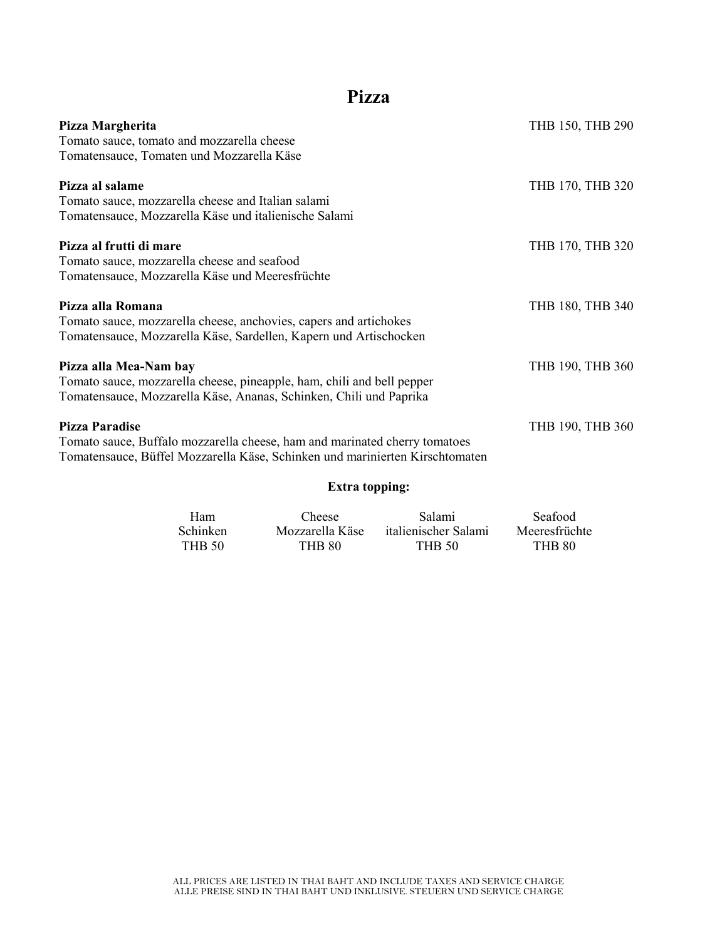## **Pizza**

| Pizza Margherita                                                             | THB 150, THB 290 |
|------------------------------------------------------------------------------|------------------|
| Tomato sauce, tomato and mozzarella cheese                                   |                  |
| Tomatensauce, Tomaten und Mozzarella Käse                                    |                  |
| Pizza al salame                                                              | THB 170, THB 320 |
| Tomato sauce, mozzarella cheese and Italian salami                           |                  |
| Tomatensauce, Mozzarella Käse und italienische Salami                        |                  |
| Pizza al frutti di mare                                                      | THB 170, THB 320 |
| Tomato sauce, mozzarella cheese and seafood                                  |                  |
| Tomatensauce, Mozzarella Käse und Meeresfrüchte                              |                  |
| Pizza alla Romana                                                            | THB 180, THB 340 |
| Tomato sauce, mozzarella cheese, anchovies, capers and artichokes            |                  |
| Tomatensauce, Mozzarella Käse, Sardellen, Kapern und Artischocken            |                  |
| Pizza alla Mea-Nam bay                                                       | THB 190, THB 360 |
| Tomato sauce, mozzarella cheese, pineapple, ham, chili and bell pepper       |                  |
| Tomatensauce, Mozzarella Käse, Ananas, Schinken, Chili und Paprika           |                  |
| Pizza Paradise                                                               | THB 190, THB 360 |
| Tomato sauce, Buffalo mozzarella cheese, ham and marinated cherry tomatoes   |                  |
| Tomatensauce, Büffel Mozzarella Käse, Schinken und marinierten Kirschtomaten |                  |
|                                                                              |                  |

### **Extra topping:**

| <b>Ham</b>      | <b>Cheese</b>   | <b>Salami</b>        | <b>Seafood</b> |
|-----------------|-----------------|----------------------|----------------|
| <b>Schinken</b> | Mozzarella Käse | italienischer Salami | Meeresfrüchte  |
| THB 50          | <b>THB 80</b>   | <b>THB 50</b>        | <b>THB 80</b>  |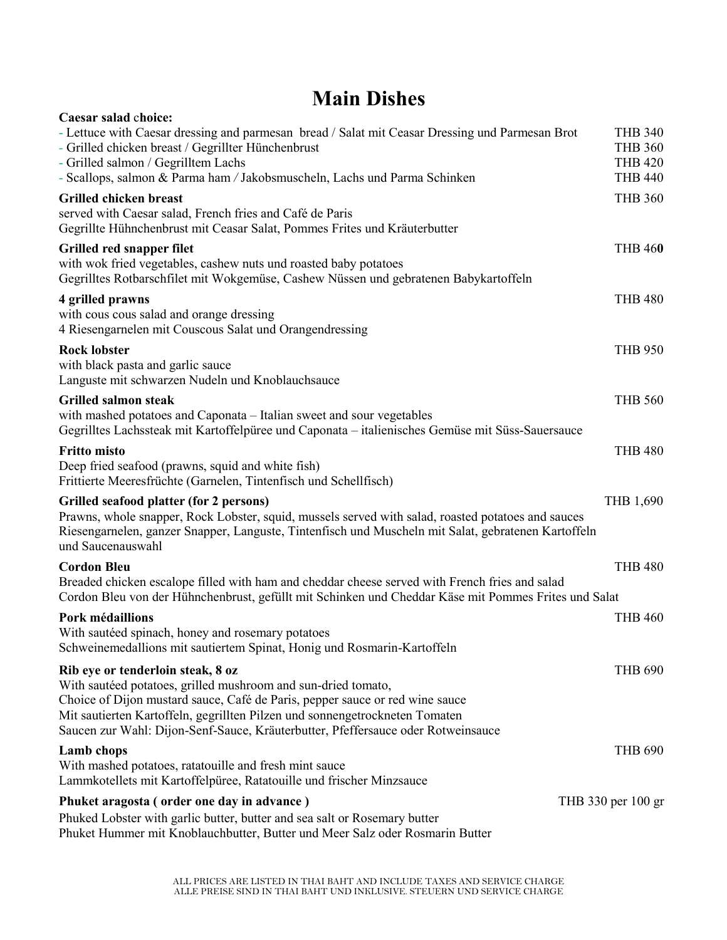## **Main Dishes**

| Caesar salad choice:                                                                                 |                    |
|------------------------------------------------------------------------------------------------------|--------------------|
| - Lettuce with Caesar dressing and parmesan bread / Salat mit Ceasar Dressing und Parmesan Brot      | <b>THB 340</b>     |
| - Grilled chicken breast / Gegrillter Hünchenbrust                                                   | <b>THB 360</b>     |
| - Grilled salmon / Gegrilltem Lachs                                                                  | <b>THB 420</b>     |
| - Scallops, salmon & Parma ham / Jakobsmuscheln, Lachs und Parma Schinken                            | <b>THB 440</b>     |
| <b>Grilled chicken breast</b>                                                                        | <b>THB 360</b>     |
| served with Caesar salad, French fries and Café de Paris                                             |                    |
| Gegrillte Hühnchenbrust mit Ceasar Salat, Pommes Frites und Kräuterbutter                            |                    |
| Grilled red snapper filet                                                                            | <b>THB 460</b>     |
| with wok fried vegetables, cashew nuts und roasted baby potatoes                                     |                    |
| Gegrilltes Rotbarschfilet mit Wokgemüse, Cashew Nüssen und gebratenen Babykartoffeln                 |                    |
| 4 grilled prawns                                                                                     | <b>THB 480</b>     |
| with cous cous salad and orange dressing                                                             |                    |
| 4 Riesengarnelen mit Couscous Salat und Orangendressing                                              |                    |
| <b>Rock lobster</b>                                                                                  | <b>THB 950</b>     |
| with black pasta and garlic sauce                                                                    |                    |
| Languste mit schwarzen Nudeln und Knoblauchsauce                                                     |                    |
| <b>Grilled salmon steak</b>                                                                          | <b>THB 560</b>     |
| with mashed potatoes and Caponata - Italian sweet and sour vegetables                                |                    |
| Gegrilltes Lachssteak mit Kartoffelpüree und Caponata – italienisches Gemüse mit Süss-Sauersauce     |                    |
| <b>Fritto misto</b>                                                                                  | <b>THB 480</b>     |
| Deep fried seafood (prawns, squid and white fish)                                                    |                    |
| Frittierte Meeresfrüchte (Garnelen, Tintenfisch und Schellfisch)                                     |                    |
| Grilled seafood platter (for 2 persons)                                                              | THB 1,690          |
| Prawns, whole snapper, Rock Lobster, squid, mussels served with salad, roasted potatoes and sauces   |                    |
| Riesengarnelen, ganzer Snapper, Languste, Tintenfisch und Muscheln mit Salat, gebratenen Kartoffeln  |                    |
| und Saucenauswahl                                                                                    |                    |
| <b>Cordon Bleu</b>                                                                                   | <b>THB 480</b>     |
| Breaded chicken escalope filled with ham and cheddar cheese served with French fries and salad       |                    |
| Cordon Bleu von der Hühnchenbrust, gefüllt mit Schinken und Cheddar Käse mit Pommes Frites und Salat |                    |
| Pork médaillions                                                                                     | <b>THB 460</b>     |
| With sautéed spinach, honey and rosemary potatoes                                                    |                    |
| Schweinemedallions mit sautiertem Spinat, Honig und Rosmarin-Kartoffeln                              |                    |
| Rib eye or tenderloin steak, 8 oz                                                                    | <b>THB 690</b>     |
| With sautéed potatoes, grilled mushroom and sun-dried tomato,                                        |                    |
| Choice of Dijon mustard sauce, Café de Paris, pepper sauce or red wine sauce                         |                    |
| Mit sautierten Kartoffeln, gegrillten Pilzen und sonnengetrockneten Tomaten                          |                    |
| Saucen zur Wahl: Dijon-Senf-Sauce, Kräuterbutter, Pfeffersauce oder Rotweinsauce                     |                    |
| <b>Lamb</b> chops                                                                                    | <b>THB 690</b>     |
| With mashed potatoes, ratatouille and fresh mint sauce                                               |                    |
| Lammkotellets mit Kartoffelpüree, Ratatouille und frischer Minzsauce                                 |                    |
| Phuket aragosta (order one day in advance)                                                           | THB 330 per 100 gr |
| Phuked Lobster with garlic butter, butter and sea salt or Rosemary butter                            |                    |
| Phuket Hummer mit Knoblauchbutter, Butter und Meer Salz oder Rosmarin Butter                         |                    |
|                                                                                                      |                    |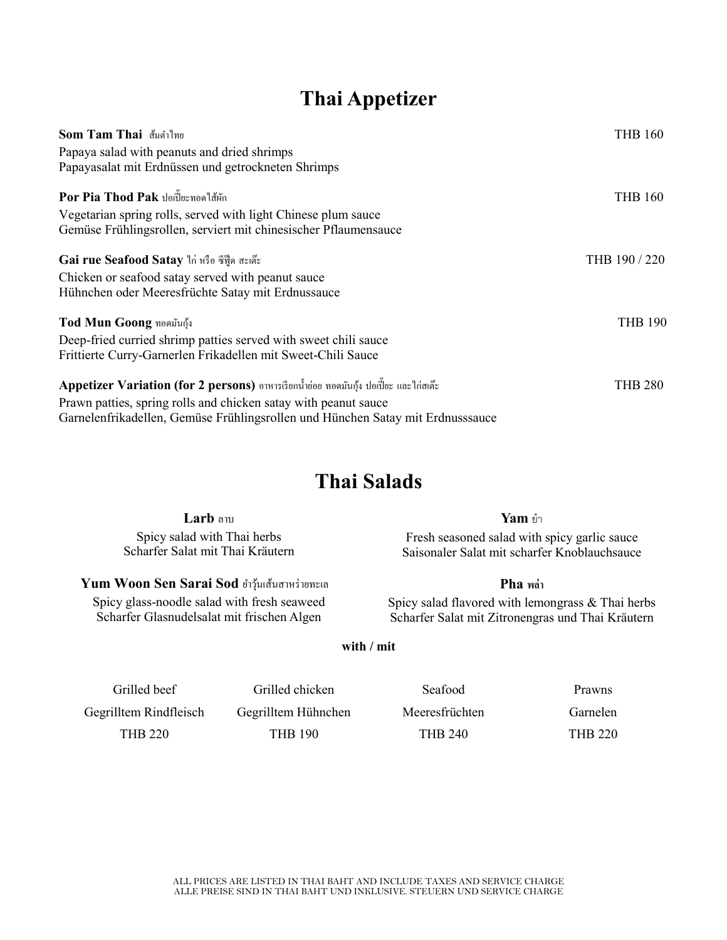## **Thai Appetizer**

| Som Tam Thai ส้มตำไทย                                                                 | <b>THB 160</b> |
|---------------------------------------------------------------------------------------|----------------|
| Papaya salad with peanuts and dried shrimps                                           |                |
| Papayasalat mit Erdnüssen und getrockneten Shrimps                                    |                |
| Por Pia Thod Pak ปอเปี๊ยะทอดไส้ผัก                                                    | <b>THB 160</b> |
| Vegetarian spring rolls, served with light Chinese plum sauce                         |                |
| Gemüse Frühlingsrollen, serviert mit chinesischer Pflaumensauce                       |                |
| Gai rue Seafood Satay ไก่ หรือ ซีฟู๊ด สะเต๊ะ                                          | THB 190/220    |
| Chicken or seafood satay served with peanut sauce                                     |                |
| Hühnchen oder Meeresfrüchte Satay mit Erdnussauce                                     |                |
| Tod Mun Goong ทอดมันกุ้ง                                                              | <b>THB 190</b> |
| Deep-fried curried shrimp patties served with sweet chili sauce                       |                |
| Frittierte Curry-Garnerlen Frikadellen mit Sweet-Chili Sauce                          |                |
| Appetizer Variation (for 2 persons) อาหารเรียกน้ำย่อย ทอคมันกุ้ง ปอเปี๊ยะ และไก่สเต๊ะ | <b>THB 280</b> |
| Prawn patties, spring rolls and chicken satay with peanut sauce                       |                |
| Garnelenfrikadellen, Gemüse Frühlingsrollen und Hünchen Satay mit Erdnusssauce        |                |

## **Thai Salads**

| Larb and                         | <b>Yam</b> ยำ                                |
|----------------------------------|----------------------------------------------|
| Spicy salad with Thai herbs      | Fresh seasoned salad with spicy garlic sauce |
| Scharfer Salat mit Thai Kräutern | Saisonaler Salat mit scharfer Knoblauchsauce |

**Yum Woon Sen Sarai Sod** ยำวุ้นเส้นสาหร่ายทะเล Spicy glass-noodle salad with fresh seaweed Scharfer Glasnudelsalat mit frischen Algen

### **Pha พล่า**

Spicy salad flavored with lemongrass & Thai herbs Scharfer Salat mit Zitronengras und Thai Kräutern

**with / mit**

| Grilled beef           | Grilled chicken     | Seafood        | <b>Prawns</b>  |
|------------------------|---------------------|----------------|----------------|
| Gegrilltem Rindfleisch | Gegrilltem Hühnchen | Meeresfrüchten | Garnelen       |
| THB 220                | THB 190             | <b>THB 240</b> | <b>THB 220</b> |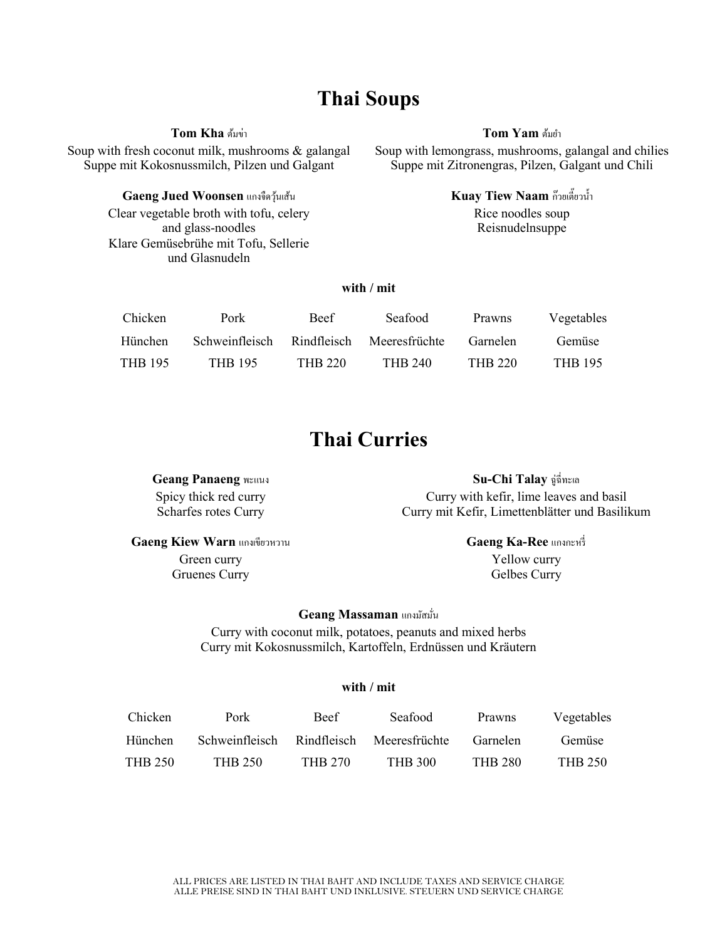## **Thai Soups**

**Tom Kha** ต้มข่า

Soup with fresh coconut milk, mushrooms & galangal Suppe mit Kokosnussmilch, Pilzen und Galgant

#### **Gaeng Jued Woonsen** แกงจืดวุ้นเส้น

Clear vegetable broth with tofu, celery and glass-noodles Klare Gemüsebrühe mit Tofu, Sellerie und Glasnudeln

#### **Tom Yam ด้มยำ**

Soup with lemongrass, mushrooms, galangal and chilies Suppe mit Zitronengras, Pilzen, Galgant und Chili

> **Kuay Tiew Naam** ก๊วยเตี๊ยวน้ ำ Rice noodles soup Reisnudelnsuppe

### **with / mit**

| <b>Chicken</b> | Pork           | <b>Beef</b>    | Seafood        | Prawns         | Vegetables     |
|----------------|----------------|----------------|----------------|----------------|----------------|
| Hünchen        | Schweinfleisch | Rindfleisch    | Meeresfrüchte  | Garnelen       | Gemüse         |
| <b>THB 195</b> | <b>THB 195</b> | <b>THB 220</b> | <b>THB 240</b> | <b>THB 220</b> | <b>THB 195</b> |

### **Thai Curries**

**Geang Panaeng** พะแนง Spicy thick red curry Scharfes rotes Curry

**Su-Chi Talay** ฉู่ฉี่ทะเล Curry with kefir, lime leaves and basil Curry mit Kefir, Limettenblätter und Basilikum

**Gaeng Kiew Warn** แกงเขียวหวำน Green curry Gruenes Curry

**Gaeng Ka-Ree** แกงกะหรี่

Yellow curry Gelbes Curry

#### **Geang Massaman แกงมัสมั่น**

Curry with coconut milk, potatoes, peanuts and mixed herbs Curry mit Kokosnussmilch, Kartoffeln, Erdnüssen und Kräutern

#### **with / mit**

| <b>Chicken</b> | Pork                                     | <b>Beef</b> | Seafood | Prawns         | Vegetables |
|----------------|------------------------------------------|-------------|---------|----------------|------------|
| Hünchen        | Schweinfleisch Rindfleisch Meeresfrüchte |             |         | Garnelen       | Gemüse     |
| <b>THB 250</b> | THB 250                                  | THB 270     | THB 300 | <b>THB 280</b> | THB 250    |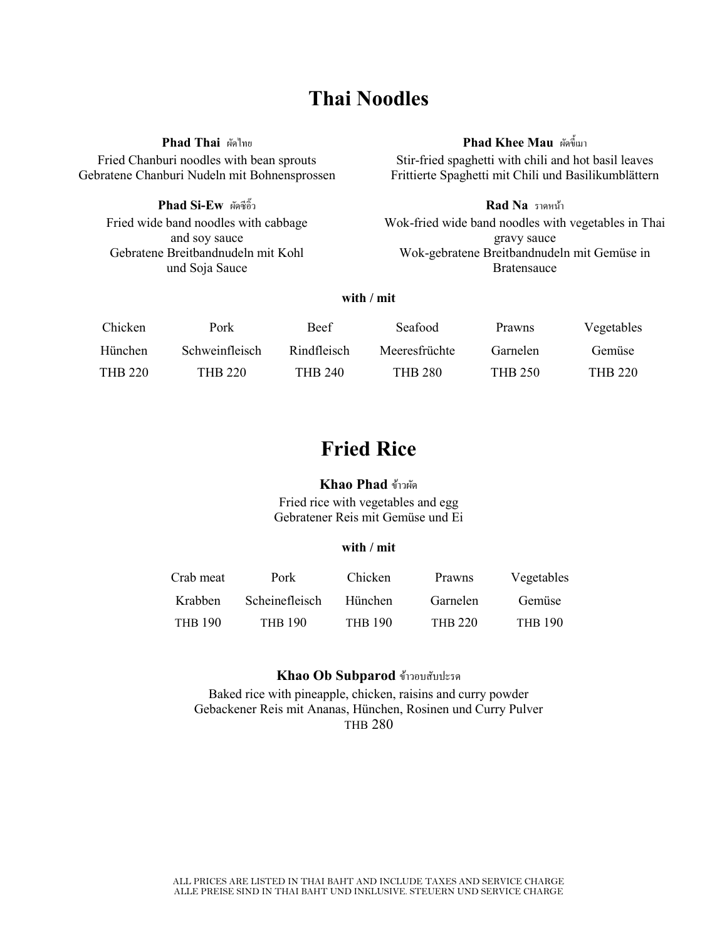## **Thai Noodles**

**Phad Thai** ผัดไทย Fried Chanburi noodles with bean sprouts Gebratene Chanburi Nudeln mit Bohnensprossen

> **Phad Si-Ew** ผดัซีอิ๊ วFried wide band noodles with cabbage and soy sauce Gebratene Breitbandnudeln mit Kohl und Soja Sauce

Stir-fried spaghetti with chili and hot basil leaves Frittierte Spaghetti mit Chili und Basilikumblättern

**Rad Na** รำดหน้ำ Wok-fried wide band noodles with vegetables in Thai gravy sauce Wok-gebratene Breitbandnudeln mit Gemüse in Bratensauce

#### **with / mit**

| Chicken | Pork           | <b>Beef</b>    | Seafood        | <b>Prawns</b> | Vegetables     |
|---------|----------------|----------------|----------------|---------------|----------------|
| Hünchen | Schweinfleisch | Rindfleisch    | Meeresfrüchte  | Garnelen      | Gemüse         |
| THB 220 | THB 220        | <b>THB 240</b> | <b>THB 280</b> | THB 250       | <b>THB 220</b> |

## **Fried Rice**

#### **Khao Phad** ข้ำวผัด

Fried rice with vegetables and egg Gebratener Reis mit Gemüse und Ei

#### **with / mit**

| Crab meat      | Pork                  | Chicken        | Prawns         | Vegetables     |
|----------------|-----------------------|----------------|----------------|----------------|
| Krabben        | <b>Scheinefleisch</b> | Hünchen        | Garnelen       | Gemüse         |
| <b>THB 190</b> | <b>THR 190</b>        | <b>THB 190</b> | <b>THB 220</b> | <b>THR 190</b> |

#### **Khao Ob Subparod** ข้ำวอบสับปะรด

Baked rice with pineapple, chicken, raisins and curry powder Gebackener Reis mit Ananas, Hünchen, Rosinen und Curry Pulver THB 280

### **Phad Khee Mau** ผดัข้ีเมำ